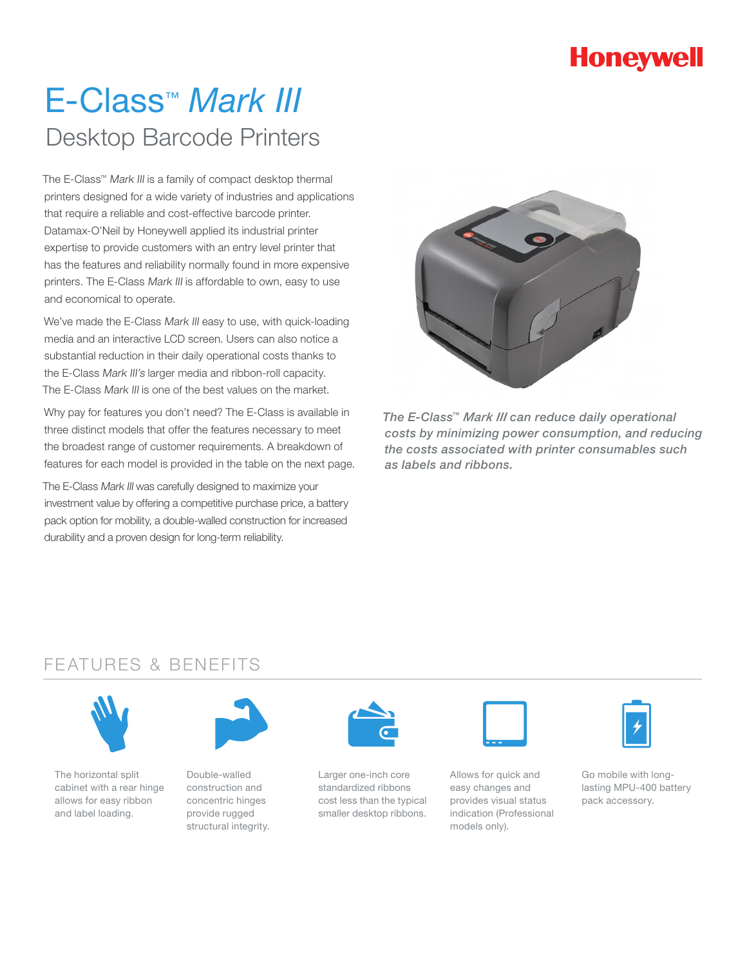# **Honeywell**

# E-Class™ *Mark III* Desktop Barcode Printers

The E-Class™ Mark III is a family of compact desktop thermal printers designed for a wide variety of industries and applications that require a reliable and cost-effective barcode printer. Datamax-O'Neil by Honeywell applied its industrial printer expertise to provide customers with an entry level printer that has the features and reliability normally found in more expensive printers. The E-Class Mark III is affordable to own, easy to use and economical to operate.

We've made the E-Class Mark III easy to use, with quick-loading media and an interactive LCD screen. Users can also notice a substantial reduction in their daily operational costs thanks to the E-Class Mark III's larger media and ribbon-roll capacity. The E-Class Mark III is one of the best values on the market.

Why pay for features you don't need? The E-Class is available in three distinct models that offer the features necessary to meet the broadest range of customer requirements. A breakdown of features for each model is provided in the table on the next page.

The E-Class Mark III was carefully designed to maximize your investment value by offering a competitive purchase price, a battery pack option for mobility, a double-walled construction for increased durability and a proven design for long-term reliability.



*The E-Class™ Mark III can reduce daily operational costs by minimizing power consumption, and reducing the costs associated with printer consumables such as labels and ribbons.* 

### FEATURES & BENEFITS



The horizontal split cabinet with a rear hinge allows for easy ribbon and label loading.



Double-walled construction and concentric hinges provide rugged structural integrity.



Larger one-inch core standardized ribbons cost less than the typical smaller desktop ribbons.



Allows for quick and easy changes and provides visual status indication (Professional models only).



Go mobile with longlasting MPU-400 battery pack accessory.